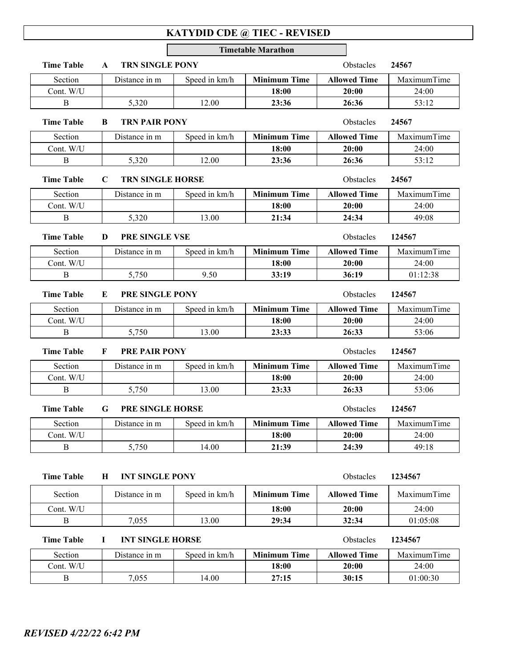## **KATYDID CDE @ TIEC - REVISED**

|                                                |                                    |                                               | <b>Timetable Marathon</b> |                     |             |  |
|------------------------------------------------|------------------------------------|-----------------------------------------------|---------------------------|---------------------|-------------|--|
| <b>Time Table</b>                              | <b>TRN SINGLE PONY</b><br>A        |                                               |                           | Obstacles           | 24567       |  |
| Section                                        | Distance in m                      | Speed in km/h                                 | <b>Minimum Time</b>       | <b>Allowed Time</b> | MaximumTime |  |
| Cont. W/U                                      |                                    |                                               | 18:00                     | 20:00               | 24:00       |  |
| B                                              | 5,320                              | 12.00                                         | 23:36                     | 26:36               | 53:12       |  |
| <b>Time Table</b><br>B<br><b>TRN PAIR PONY</b> |                                    |                                               |                           | Obstacles           | 24567       |  |
| Section                                        | Distance in m                      | Speed in km/h                                 | <b>Minimum Time</b>       | <b>Allowed Time</b> | MaximumTime |  |
| Cont. W/U                                      |                                    |                                               | 18:00                     | 20:00               | 24:00       |  |
| $\bf{B}$                                       | 5,320                              | 12.00                                         | 23:36                     | 26:36               | 53:12       |  |
| <b>Time Table</b>                              | $\mathbf C$                        | <b>TRN SINGLE HORSE</b><br>Obstacles<br>24567 |                           |                     |             |  |
| Section                                        | Distance in m                      | Speed in km/h                                 | <b>Minimum Time</b>       | <b>Allowed Time</b> | MaximumTime |  |
| Cont. W/U                                      |                                    |                                               | 18:00                     | 20:00               | 24:00       |  |
| B                                              | 5,320                              | 13.00                                         | 21:34                     | 24:34               | 49:08       |  |
| <b>Time Table</b>                              | PRE SINGLE VSE<br>D                |                                               |                           | Obstacles           | 124567      |  |
| Section                                        | Distance in m                      | Speed in km/h                                 | <b>Minimum Time</b>       | <b>Allowed Time</b> | MaximumTime |  |
| Cont. W/U                                      |                                    |                                               | 18:00                     | 20:00               | 24:00       |  |
| B                                              | 5,750                              | 9.50                                          | 33:19                     | 36:19               | 01:12:38    |  |
| <b>Time Table</b>                              | PRE SINGLE PONY<br>Е               |                                               |                           | Obstacles           | 124567      |  |
| Section                                        | Distance in m                      | Speed in km/h                                 | <b>Minimum Time</b>       | <b>Allowed Time</b> | MaximumTime |  |
| Cont. W/U                                      |                                    |                                               | 18:00                     | 20:00               | 24:00       |  |
| B                                              | 5,750                              | 13.00                                         | 23:33                     | 26:33               | 53:06       |  |
| <b>Time Table</b>                              | <b>PRE PAIR PONY</b><br>F          |                                               |                           | Obstacles           | 124567      |  |
| Section                                        | Distance in m                      | Speed in km/h                                 | <b>Minimum Time</b>       | <b>Allowed Time</b> | MaximumTime |  |
| Cont. W/U                                      |                                    |                                               | 18:00                     | 20:00               | 24:00       |  |
| B                                              | 5,750                              | 13.00                                         | 23:33                     | 26:33               | 53:06       |  |
| <b>Time Table</b>                              | PRE SINGLE HORSE<br>Obstacles<br>G |                                               |                           |                     | 124567      |  |
| Section                                        | Distance in m                      | Speed in km/h                                 | <b>Minimum Time</b>       | Allowed Time        | MaximumTime |  |
| Cont. W/U                                      |                                    |                                               | 18:00                     | 20:00               | 24:00       |  |
| B                                              | 5,750                              | 14.00                                         | 21:39                     | 24:39               | 49:18       |  |
| <b>Time Table</b>                              | <b>INT SINGLE PONY</b><br>Н        |                                               |                           | Obstacles           | 1234567     |  |
| Section                                        | Distance in m                      | Speed in km/h                                 | <b>Minimum Time</b>       | <b>Allowed Time</b> | MaximumTime |  |
| Cont. W/U                                      |                                    |                                               | 18:00                     | 20:00               | 24:00       |  |
| B                                              | 7,055                              | 13.00                                         | 29:34                     | 32:34               | 01:05:08    |  |
| <b>Time Table</b>                              | <b>INT SINGLE HORSE</b><br>п.      |                                               |                           | Obstacles           | 1234567     |  |
| Section                                        | Distance in m                      | Speed in km/h                                 | <b>Minimum Time</b>       | <b>Allowed Time</b> | MaximumTime |  |
| Cont. W/U                                      |                                    |                                               | 18:00                     | 20:00               | 24:00       |  |

B 7,055 14.00 **27:15 30:15** 01:00:30